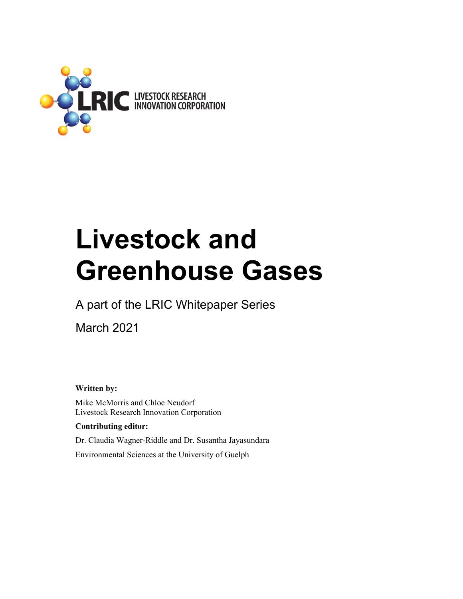

# **Livestock and Greenhouse Gases**

A part of the LRIC Whitepaper Series

March 2021

**Written by:** 

Mike McMorris and Chloe Neudorf Livestock Research Innovation Corporation

#### **Contributing editor:**

Dr. Claudia Wagner-Riddle and Dr. Susantha Jayasundara

Environmental Sciences at the University of Guelph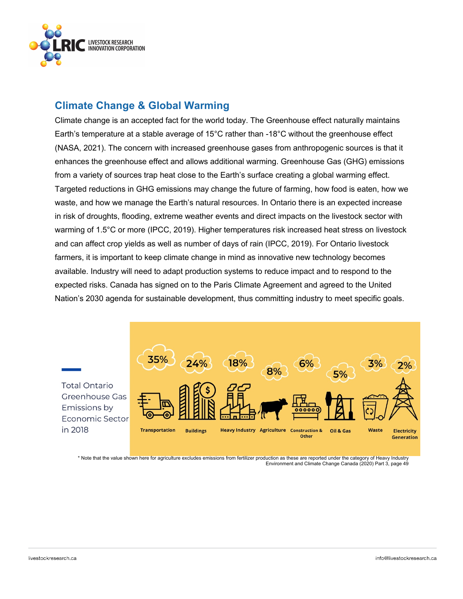

# **Climate Change & Global Warming**

Climate change is an accepted fact for the world today. The Greenhouse effect naturally maintains Earth's temperature at a stable average of 15°C rather than -18°C without the greenhouse effect (NASA, 2021). The concern with increased greenhouse gases from anthropogenic sources is that it enhances the greenhouse effect and allows additional warming. Greenhouse Gas (GHG) emissions from a variety of sources trap heat close to the Earth's surface creating a global warming effect. Targeted reductions in GHG emissions may change the future of farming, how food is eaten, how we waste, and how we manage the Earth's natural resources. In Ontario there is an expected increase in risk of droughts, flooding, extreme weather events and direct impacts on the livestock sector with warming of 1.5°C or more (IPCC, 2019). Higher temperatures risk increased heat stress on livestock and can affect crop yields as well as number of days of rain (IPCC, 2019). For Ontario livestock farmers, it is important to keep climate change in mind as innovative new technology becomes available. Industry will need to adapt production systems to reduce impact and to respond to the expected risks. Canada has signed on to the Paris Climate Agreement and agreed to the United Nation's 2030 agenda for sustainable development, thus committing industry to meet specific goals.



\* Note that the value shown here for agriculture excludes emissions from fertilizer production as these are reported under the category of Heavy Industry Environment and Climate Change Canada (2020) Part 3, page 49

in 2018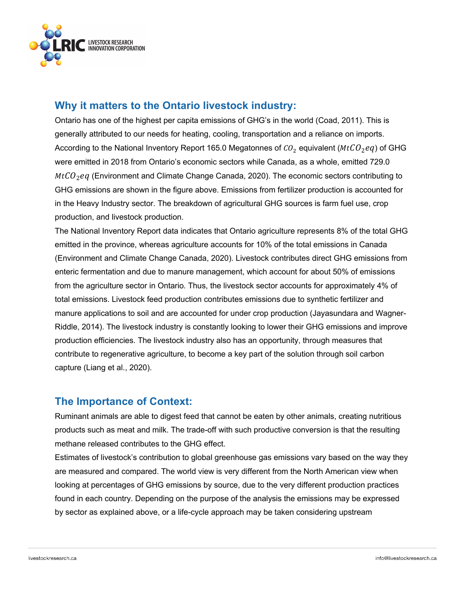

# **Why it matters to the Ontario livestock industry:**

Ontario has one of the highest per capita emissions of GHG's in the world (Coad, 2011). This is generally attributed to our needs for heating, cooling, transportation and a reliance on imports. According to the National Inventory Report 165.0 Megatonnes of  $CO<sub>2</sub>$  equivalent ( $MtCO<sub>2</sub>eq$ ) of GHG were emitted in 2018 from Ontario's economic sectors while Canada, as a whole, emitted 729.0  $MtCO<sub>2</sub>$ eq (Environment and Climate Change Canada, 2020). The economic sectors contributing to GHG emissions are shown in the figure above. Emissions from fertilizer production is accounted for in the Heavy Industry sector. The breakdown of agricultural GHG sources is farm fuel use, crop production, and livestock production.

The National Inventory Report data indicates that Ontario agriculture represents 8% of the total GHG emitted in the province, whereas agriculture accounts for 10% of the total emissions in Canada (Environment and Climate Change Canada, 2020). Livestock contributes direct GHG emissions from enteric fermentation and due to manure management, which account for about 50% of emissions from the agriculture sector in Ontario. Thus, the livestock sector accounts for approximately 4% of total emissions. Livestock feed production contributes emissions due to synthetic fertilizer and manure applications to soil and are accounted for under crop production (Jayasundara and Wagner-Riddle, 2014). The livestock industry is constantly looking to lower their GHG emissions and improve production efficiencies. The livestock industry also has an opportunity, through measures that contribute to regenerative agriculture, to become a key part of the solution through soil carbon capture (Liang et al., 2020).

# **The Importance of Context:**

Ruminant animals are able to digest feed that cannot be eaten by other animals, creating nutritious products such as meat and milk. The trade-off with such productive conversion is that the resulting methane released contributes to the GHG effect.

Estimates of livestock's contribution to global greenhouse gas emissions vary based on the way they are measured and compared. The world view is very different from the North American view when looking at percentages of GHG emissions by source, due to the very different production practices found in each country. Depending on the purpose of the analysis the emissions may be expressed by sector as explained above, or a life-cycle approach may be taken considering upstream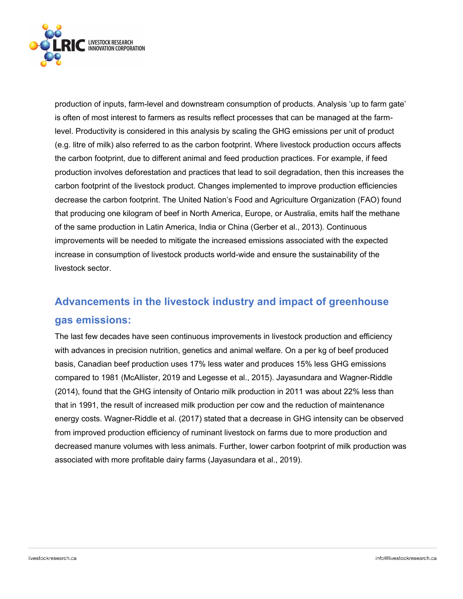

production of inputs, farm-level and downstream consumption of products. Analysis 'up to farm gate' is often of most interest to farmers as results reflect processes that can be managed at the farmlevel. Productivity is considered in this analysis by scaling the GHG emissions per unit of product (e.g. litre of milk) also referred to as the carbon footprint. Where livestock production occurs affects the carbon footprint, due to different animal and feed production practices. For example, if feed production involves deforestation and practices that lead to soil degradation, then this increases the carbon footprint of the livestock product. Changes implemented to improve production efficiencies decrease the carbon footprint. The United Nation's Food and Agriculture Organization (FAO) found that producing one kilogram of beef in North America, Europe, or Australia, emits half the methane of the same production in Latin America, India or China (Gerber et al., 2013). Continuous improvements will be needed to mitigate the increased emissions associated with the expected increase in consumption of livestock products world-wide and ensure the sustainability of the livestock sector.

# **Advancements in the livestock industry and impact of greenhouse gas emissions:**

The last few decades have seen continuous improvements in livestock production and efficiency with advances in precision nutrition, genetics and animal welfare. On a per kg of beef produced basis, Canadian beef production uses 17% less water and produces 15% less GHG emissions compared to 1981 (McAllister, 2019 and Legesse et al., 2015). Jayasundara and Wagner-Riddle (2014), found that the GHG intensity of Ontario milk production in 2011 was about 22% less than that in 1991, the result of increased milk production per cow and the reduction of maintenance energy costs. Wagner-Riddle et al. (2017) stated that a decrease in GHG intensity can be observed from improved production efficiency of ruminant livestock on farms due to more production and decreased manure volumes with less animals. Further, lower carbon footprint of milk production was associated with more profitable dairy farms (Jayasundara et al., 2019).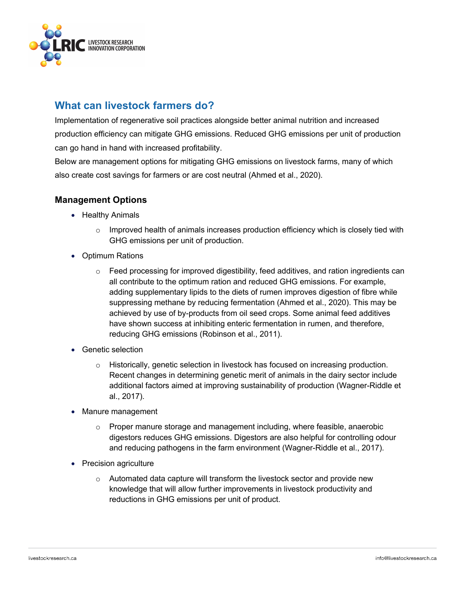

# **What can livestock farmers do?**

Implementation of regenerative soil practices alongside better animal nutrition and increased production efficiency can mitigate GHG emissions. Reduced GHG emissions per unit of production can go hand in hand with increased profitability.

Below are management options for mitigating GHG emissions on livestock farms, many of which also create cost savings for farmers or are cost neutral (Ahmed et al., 2020).

#### **Management Options**

- Healthy Animals
	- $\circ$  Improved health of animals increases production efficiency which is closely tied with GHG emissions per unit of production.
- Optimum Rations
	- $\circ$  Feed processing for improved digestibility, feed additives, and ration ingredients can all contribute to the optimum ration and reduced GHG emissions. For example, adding supplementary lipids to the diets of rumen improves digestion of fibre while suppressing methane by reducing fermentation (Ahmed et al., 2020). This may be achieved by use of by-products from oil seed crops. Some animal feed additives have shown success at inhibiting enteric fermentation in rumen, and therefore, reducing GHG emissions (Robinson et al., 2011).
- Genetic selection
	- $\circ$  Historically, genetic selection in livestock has focused on increasing production. Recent changes in determining genetic merit of animals in the dairy sector include additional factors aimed at improving sustainability of production (Wagner-Riddle et al., 2017).
- Manure management
	- $\circ$  Proper manure storage and management including, where feasible, anaerobic digestors reduces GHG emissions. Digestors are also helpful for controlling odour and reducing pathogens in the farm environment (Wagner-Riddle et al., 2017).
- Precision agriculture
	- o Automated data capture will transform the livestock sector and provide new knowledge that will allow further improvements in livestock productivity and reductions in GHG emissions per unit of product.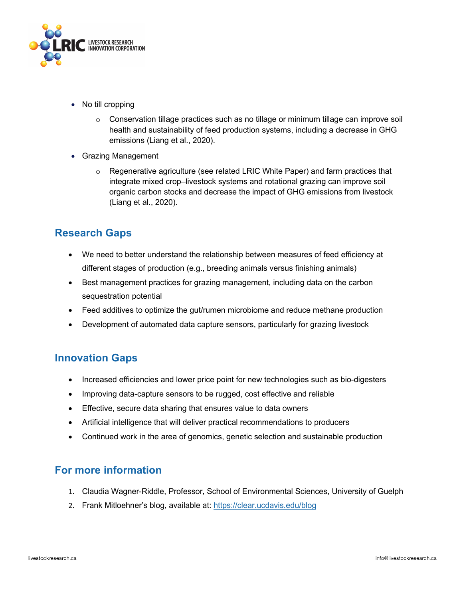

- No till cropping
	- $\circ$  Conservation tillage practices such as no tillage or minimum tillage can improve soil health and sustainability of feed production systems, including a decrease in GHG emissions (Liang et al., 2020).
- Grazing Management
	- o Regenerative agriculture (see related LRIC White Paper) and farm practices that integrate mixed crop–livestock systems and rotational grazing can improve soil organic carbon stocks and decrease the impact of GHG emissions from livestock (Liang et al., 2020).

# **Research Gaps**

- We need to better understand the relationship between measures of feed efficiency at different stages of production (e.g., breeding animals versus finishing animals)
- Best management practices for grazing management, including data on the carbon sequestration potential
- Feed additives to optimize the gut/rumen microbiome and reduce methane production
- Development of automated data capture sensors, particularly for grazing livestock

# **Innovation Gaps**

- Increased efficiencies and lower price point for new technologies such as bio-digesters
- Improving data-capture sensors to be rugged, cost effective and reliable
- Effective, secure data sharing that ensures value to data owners
- Artificial intelligence that will deliver practical recommendations to producers
- Continued work in the area of genomics, genetic selection and sustainable production

# **For more information**

- 1. Claudia Wagner-Riddle, Professor, School of Environmental Sciences, University of Guelph
- 2. Frank Mitloehner's blog, available at: https://clear.ucdavis.edu/blog